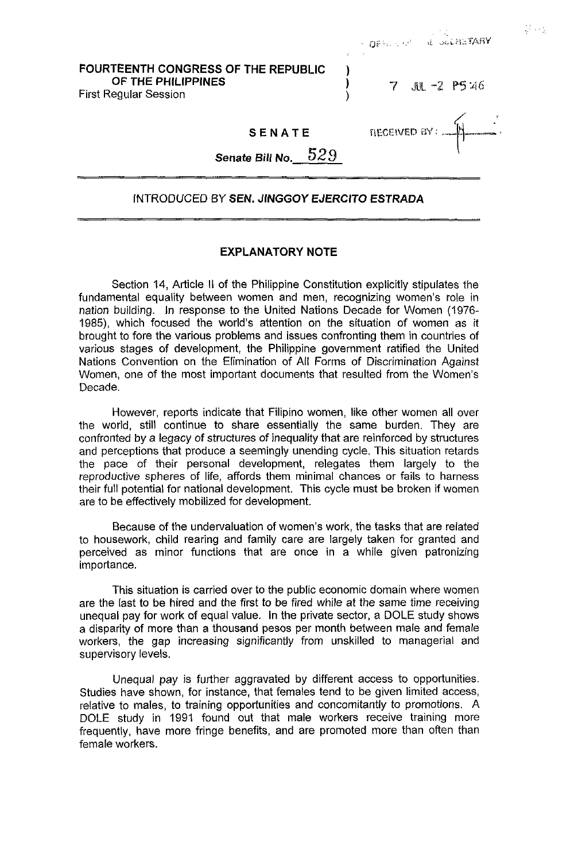| FOURTEENTH CONGRESS OF THE REPUBLIC |  |
|-------------------------------------|--|
| OF THE PHILIPPINES                  |  |
| First Regular Session               |  |

7 JUL -2 P5:46

neceived av:

OFFICE OF SEARCHETARY

### **SENATE**

**Senate** *Bill No.* 529

#### INTRODUCED **BY SEN.** *JlNGGOY* **EJERClTO ESTRADA**

#### **EXPLANATORY NOTE**

Section 14, Article **II** of the Philippine Constitution explicitly stipulates the fundamental equality between women and men, recognizing women's role in nation building. In response to the United Nations Decade for Women (1976- 1985), which focused the world's attention on the situation of women as it brought to fore the various problems and issues confronting them in countries of various stages of development, the Philippine government ratified the United Nations Convention on the Elimination of All Forms of Discrimination Against Women, one of the most important documents that resulted from the Women's Decade.

However, reports indicate that Filipino women, like other women all over the world, still continue to share essentially the same burden. They are confronted by a legacy of structures of inequality that are reinforced by structures and perceptions that produce a seemingly unending cycle. This situation retards the pace of their personal development, relegates them largely to the reproductive spheres of life, affords them minimal chances or fails to harness their full potential for national development. This cycle must be broken if women are to be effectively mobilized for development.

Because of the undervaluation of women's work, the tasks that are related to housework, child rearing and family care are largely taken for granted and perceived as minor functions that are once in a while given patronizing importance.

This situation is carried over to the public economic domain where women are the last to be hired and the first to be fired while at the same time receiving unequal pay for work of equal value. In the private sector, a DOLE study shows a disparity of more than a thousand pesos per month between male and female workers, the gap increasing significantly from unskilled to managerial and supervisory levels.

Unequal pay is further aggravated by different access to opportunities. Studies have shown, for instance, that females tend to be given limited access, relative to males, to training opportunities and concomitantly to promotions. A DOLE study in 1991 found out that male workers receive training more frequently, have more fringe benefits, and are promoted more than often than female workers.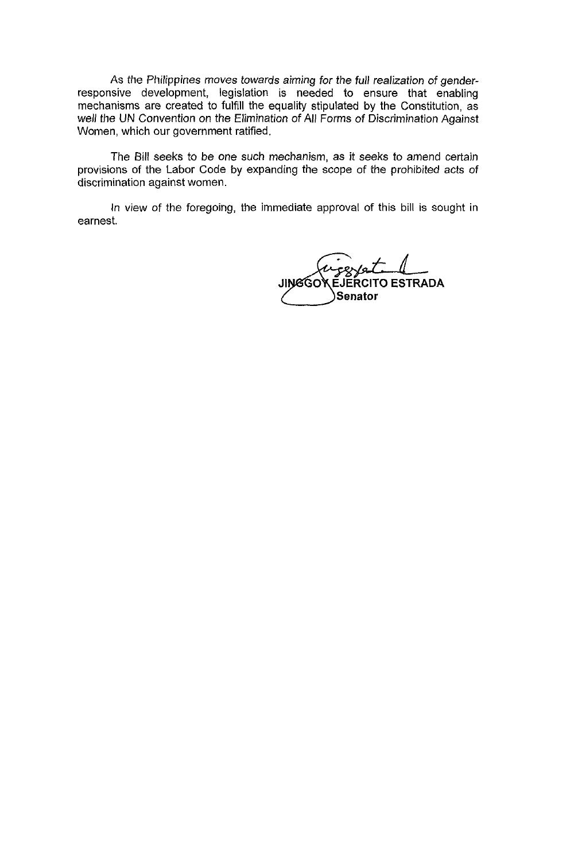As the Philippines moves towards aiming for the *full* realization *of* genderresponsive development, legislation is needed to ensure that enabling mechanisms are created to fulfill the equality stipulated by the Constitution, as *well* the UN Convention on the Elimination *of* All Forms of Discrimination Against Women, which our government ratified.

The Bill seeks to be one such mechanism, as it seeks to amend certain provisions of the Labor Code **by** expanding the scope of the prohibited acts of discrimination against women.

In view of the foregoing, the immediate approval of this bill is sought in earnest.

 $ex/s1$ **JINGGO EJERCITO ESTRADA** Senator **-Senator**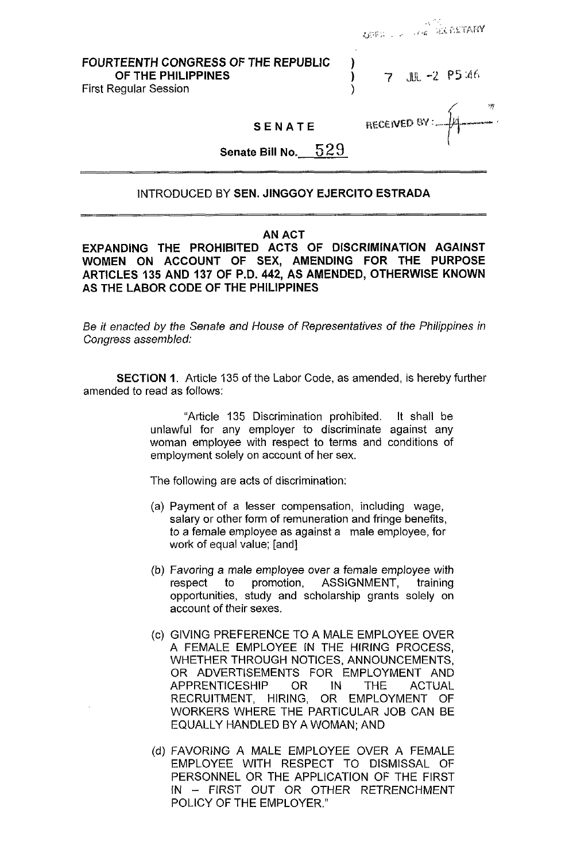FOURTEENTH CONGRESS **OF** THE REPUBLIC )

OF THE PHILIPPINES **1** *7* jilt, *-2* P5 46

**USES LINE OF BEACHING** 

**i"** 

First Regular Session (1999)

SENATE

**RECEIVED BY** 

**Senate** Bill No. **5 2** 9

# INTRODUCED BY SEN. JINGGOY EJERCITO ESTRADA

## AN ACT

EXPANDING THE PROHIBITED ACTS **OF** DISCRIMINATION AGAINST WOMEN ON ACCOUNT **OF** SEX, AMENDING FOR THE PURPOSE ARTICLES **135** AND **137 OF** P.D. **442,** AS AMENDED, OTHERWISE KNOWN AS THE LABOR CODE **OF** THE PHILIPPINES

Be it enacted *by* the Senate and House *of* Represenfafives *of* the Philippines in Congress assembled:

SECTION **1.** Article 135 of the Labor Code, as amended, is hereby further amended to read as follows:

> "Article 135 Discrimination prohibited. It shall be unlawful for any employer to discriminate against any woman employee with respect to terms and conditions of employment solely on account of her sex.

The following are acts of discrimination:

- (a) Payment of a lesser compensation, including wage, salary or other form of remuneration and fringe benefits, to a female employee as against a male employee, for work of equal value; [and]
- (b) Favoring a male employee over a female employee with respect to promotion, ASSIGNMENT, training opportunities, study and scholarship grants solely on account of their sexes.
- (c) GIVING PREFERENCE TO A MALE EMPLOYEE OVER A FEMALE EMPLOYEE IN THE HIRING PROCESS, WHETHER THROUGH NOTICES, ANNOUNCEMENTS, OR ADVERTISEMENTS FOR EMPLOYMENT AND APPRENTICESHIP OR IN THE ACTUAL RECRUITMENT, HIRING, OR EMPLOYMENT OF WORKERS WHERE THE PARTICULAR JOB CAN BE EQUALLY HANDLED BY A WOMAN: AND
- FAVORING A MALE EMPLOYEE OVER A FEMALE EMPLOYEE WITH RESPECT TO DISMISSAL OF PERSONNEL OR THE APPLICATION OF THE FIRST POLICY OF THE EMPLOYER." IN - FIRST OUT OR OTHER RETRENCHMENT